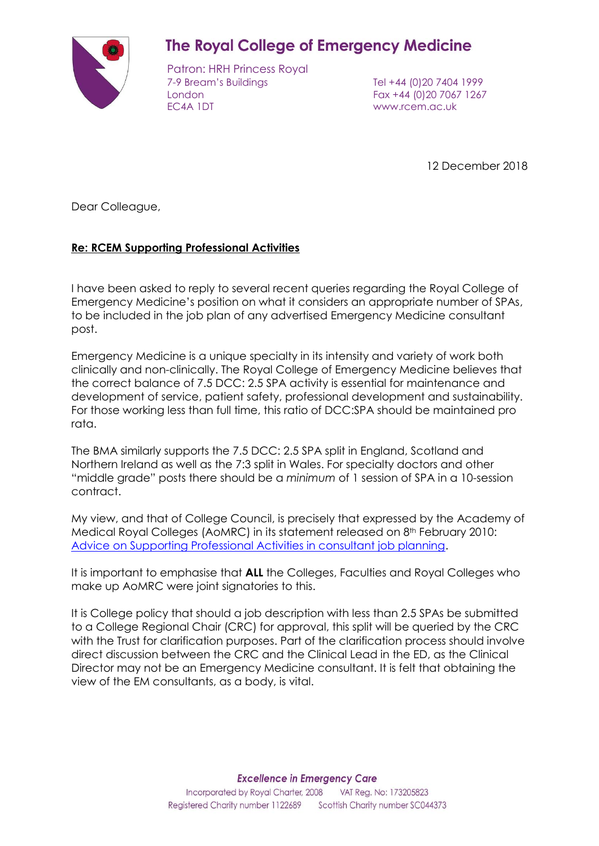

# **The Royal College of Emergency Medicine**

Patron: HRH Princess Royal 7-9 Bream's Buildings Tel +44 (0)20 7404 1999 London Fax +44 (0)20 7067 1267 EC4A 1DT www.rcem.ac.uk

12 December 2018

Dear Colleague,

## **Re: RCEM Supporting Professional Activities**

I have been asked to reply to several recent queries regarding the Royal College of Emergency Medicine's position on what it considers an appropriate number of SPAs, to be included in the job plan of any advertised Emergency Medicine consultant post.

Emergency Medicine is a unique specialty in its intensity and variety of work both clinically and non-clinically. The Royal College of Emergency Medicine believes that the correct balance of 7.5 DCC: 2.5 SPA activity is essential for maintenance and development of service, patient safety, professional development and sustainability. For those working less than full time, this ratio of DCC:SPA should be maintained pro rata.

The BMA similarly supports the 7.5 DCC: 2.5 SPA split in England, Scotland and Northern Ireland as well as the 7:3 split in Wales. For specialty doctors and other "middle grade" posts there should be a *minimum* of 1 session of SPA in a 10-session contract.

My view, and that of College Council, is precisely that expressed by the Academy of Medical Royal Colleges (AoMRC) in its statement released on 8th February 2010: [Advice on Supporting Professional Activities in consultant job planning.](http://www.aomrc.org.uk/wp-content/uploads/2016/05/AOMRC_Statement_2010-02-08_Advice_on_SPAs.pdf)

It is important to emphasise that **ALL** the Colleges, Faculties and Royal Colleges who make up AoMRC were joint signatories to this.

It is College policy that should a job description with less than 2.5 SPAs be submitted to a College Regional Chair (CRC) for approval, this split will be queried by the CRC with the Trust for clarification purposes. Part of the clarification process should involve direct discussion between the CRC and the Clinical Lead in the ED, as the Clinical Director may not be an Emergency Medicine consultant. It is felt that obtaining the view of the EM consultants, as a body, is vital.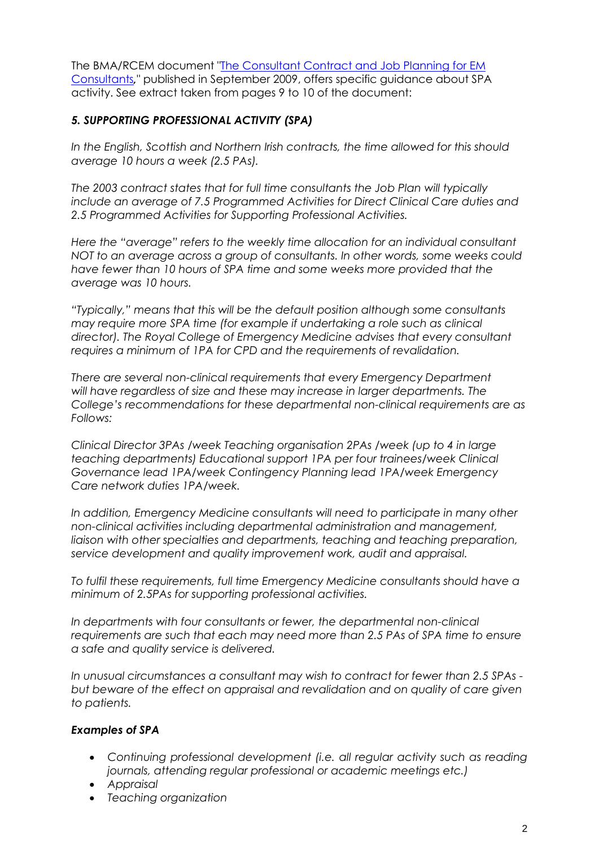The BMA/RCEM document ["The Consultant Contract](https://www.rcem.ac.uk/docs/Workforce/BMA%20Consultant%20Contract%20+%20Job%20Planning%20for%20EM%20Consultants.pdf) and Job Planning for EM [Consultants](https://www.rcem.ac.uk/docs/Workforce/BMA%20Consultant%20Contract%20+%20Job%20Planning%20for%20EM%20Consultants.pdf)*,*" published in September 2009, offers specific guidance about SPA activity. See extract taken from pages 9 to 10 of the document:

## *5. SUPPORTING PROFESSIONAL ACTIVITY (SPA)*

*In the English, Scottish and Northern Irish contracts, the time allowed for this should average 10 hours a week (2.5 PAs).*

*The 2003 contract states that for full time consultants the Job Plan will typically include an average of 7.5 Programmed Activities for Direct Clinical Care duties and 2.5 Programmed Activities for Supporting Professional Activities.*

*Here the "average" refers to the weekly time allocation for an individual consultant NOT to an average across a group of consultants. In other words, some weeks could have fewer than 10 hours of SPA time and some weeks more provided that the average was 10 hours.*

*"Typically," means that this will be the default position although some consultants may require more SPA time (for example if undertaking a role such as clinical director). The Royal College of Emergency Medicine advises that every consultant requires a minimum of 1PA for CPD and the requirements of revalidation.* 

*There are several non-clinical requirements that every Emergency Department will have regardless of size and these may increase in larger departments. The College's recommendations for these departmental non-clinical requirements are as Follows:*

*Clinical Director 3PAs /week Teaching organisation 2PAs /week (up to 4 in large teaching departments) Educational support 1PA per four trainees/week Clinical Governance lead 1PA/week Contingency Planning lead 1PA/week Emergency Care network duties 1PA/week.*

*In addition, Emergency Medicine consultants will need to participate in many other non-clinical activities including departmental administration and management, liaison with other specialties and departments, teaching and teaching preparation, service development and quality improvement work, audit and appraisal.*

*To fulfil these requirements, full time Emergency Medicine consultants should have a minimum of 2.5PAs for supporting professional activities.*

*In departments with four consultants or fewer, the departmental non-clinical requirements are such that each may need more than 2.5 PAs of SPA time to ensure a safe and quality service is delivered.*

*In unusual circumstances a consultant may wish to contract for fewer than 2.5 SPAs but beware of the effect on appraisal and revalidation and on quality of care given to patients.*

## *Examples of SPA*

- Continuing professional development *(i.e. all regular activity such as reading journals, attending regular professional or academic meetings etc.)*
- *Appraisal*
- *Teaching organization*